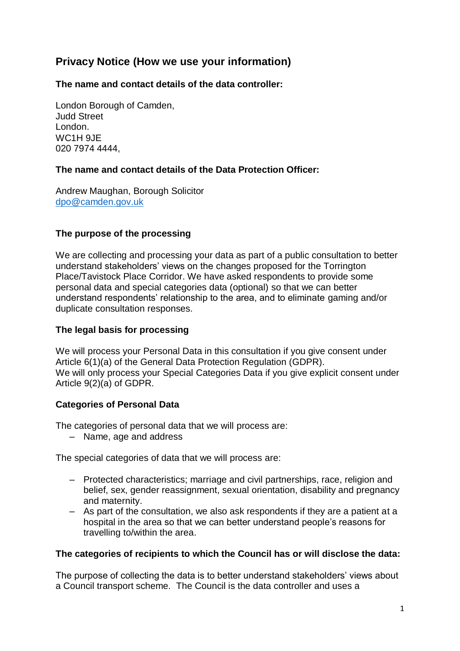# **Privacy Notice (How we use your information)**

**The name and contact details of the data controller:**

London Borough of Camden, Judd Street London. WC1H 9JE 020 7974 4444,

## **The name and contact details of the Data Protection Officer:**

Andrew Maughan, Borough Solicitor [dpo@camden.gov.uk](mailto:dpo@camden.gov.uk)

## **The purpose of the processing**

We are collecting and processing your data as part of a public consultation to better understand stakeholders' views on the changes proposed for the Torrington Place/Tavistock Place Corridor. We have asked respondents to provide some personal data and special categories data (optional) so that we can better understand respondents' relationship to the area, and to eliminate gaming and/or duplicate consultation responses.

### **The legal basis for processing**

We will process your Personal Data in this consultation if you give consent under Article 6(1)(a) of the General Data Protection Regulation (GDPR). We will only process your Special Categories Data if you give explicit consent under Article 9(2)(a) of GDPR.

### **Categories of Personal Data**

The categories of personal data that we will process are:

– Name, age and address

The special categories of data that we will process are:

- Protected characteristics; marriage and civil partnerships, race, religion and belief, sex, gender reassignment, sexual orientation, disability and pregnancy and maternity.
- As part of the consultation, we also ask respondents if they are a patient at a hospital in the area so that we can better understand people's reasons for travelling to/within the area.

### **The categories of recipients to which the Council has or will disclose the data:**

The purpose of collecting the data is to better understand stakeholders' views about a Council transport scheme. The Council is the data controller and uses a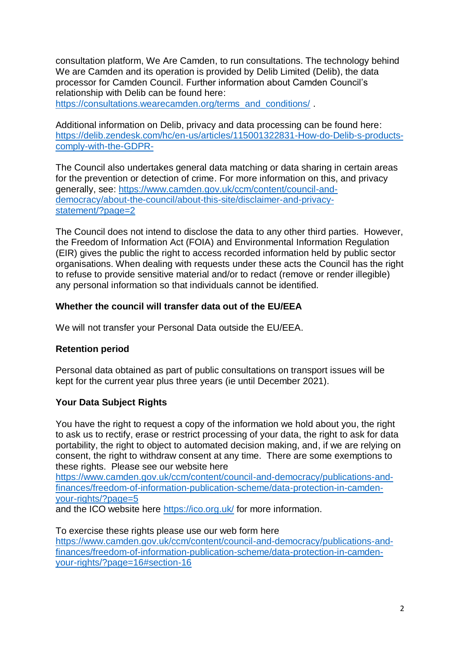consultation platform, We Are Camden, to run consultations. The technology behind We are Camden and its operation is provided by [Delib Limited](http://www.delib.net/) (Delib), the data processor for Camden Council. Further information about Camden Council's relationship with Delib can be found here:

[https://consultations.wearecamden.org/terms\\_and\\_conditions/](https://consultations.wearecamden.org/terms_and_conditions/).

Additional information on Delib, privacy and data processing can be found here: [https://delib.zendesk.com/hc/en-us/articles/115001322831-How-do-Delib-s-products](https://delib.zendesk.com/hc/en-us/articles/115001322831-How-do-Delib-s-products-comply-with-the-GDPR-)[comply-with-the-GDPR-](https://delib.zendesk.com/hc/en-us/articles/115001322831-How-do-Delib-s-products-comply-with-the-GDPR-)

The Council also undertakes general data matching or data sharing in certain areas for the prevention or detection of crime. For more information on this, and privacy generally, see: [https://www.camden.gov.uk/ccm/content/council-and](https://www.camden.gov.uk/ccm/content/council-and-democracy/about-the-council/about-this-site/disclaimer-and-privacy-statement/?page=2)[democracy/about-the-council/about-this-site/disclaimer-and-privacy](https://www.camden.gov.uk/ccm/content/council-and-democracy/about-the-council/about-this-site/disclaimer-and-privacy-statement/?page=2)[statement/?page=2](https://www.camden.gov.uk/ccm/content/council-and-democracy/about-the-council/about-this-site/disclaimer-and-privacy-statement/?page=2)

The Council does not intend to disclose the data to any other third parties. However, the Freedom of Information Act (FOIA) and Environmental Information Regulation (EIR) gives the public the right to access recorded information held by public sector organisations. When dealing with requests under these acts the Council has the right to refuse to provide sensitive material and/or to redact (remove or render illegible) any personal information so that individuals cannot be identified.

## **Whether the council will transfer data out of the EU/EEA**

We will not transfer your Personal Data outside the EU/EEA.

## **Retention period**

Personal data obtained as part of public consultations on transport issues will be kept for the current year plus three years (ie until December 2021).

## **Your Data Subject Rights**

You have the right to request a copy of the information we hold about you, the right to ask us to rectify, erase or restrict processing of your data, the right to ask for data portability, the right to object to automated decision making, and, if we are relying on consent, the right to withdraw consent at any time. There are some exemptions to these rights. Please see our website here

[https://www.camden.gov.uk/ccm/content/council-and-democracy/publications-and](https://www.camden.gov.uk/ccm/content/council-and-democracy/publications-and-finances/freedom-of-information-publication-scheme/data-protection-in-camden-your-rights/?page=5)[finances/freedom-of-information-publication-scheme/data-protection-in-camden](https://www.camden.gov.uk/ccm/content/council-and-democracy/publications-and-finances/freedom-of-information-publication-scheme/data-protection-in-camden-your-rights/?page=5)[your-rights/?page=5](https://www.camden.gov.uk/ccm/content/council-and-democracy/publications-and-finances/freedom-of-information-publication-scheme/data-protection-in-camden-your-rights/?page=5)

and the ICO website here<https://ico.org.uk/> for more information.

To exercise these rights please use our web form here [https://www.camden.gov.uk/ccm/content/council-and-democracy/publications-and](https://www.camden.gov.uk/ccm/content/council-and-democracy/publications-and-finances/freedom-of-information-publication-scheme/data-protection-in-camden-your-rights/?page=16#section-16)[finances/freedom-of-information-publication-scheme/data-protection-in-camden](https://www.camden.gov.uk/ccm/content/council-and-democracy/publications-and-finances/freedom-of-information-publication-scheme/data-protection-in-camden-your-rights/?page=16#section-16)[your-rights/?page=16#section-16](https://www.camden.gov.uk/ccm/content/council-and-democracy/publications-and-finances/freedom-of-information-publication-scheme/data-protection-in-camden-your-rights/?page=16#section-16)